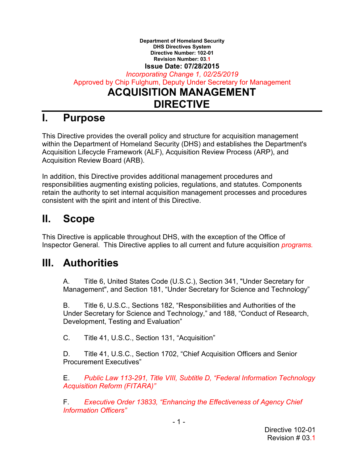#### **Department of Homeland Security DHS Directives System Directive Number: 102-01 Revision Number: 03.1 Issue Date: 07/28/2015**

*Incorporating Change 1, 02/25/2019*  Approved by Chip Fulghum, Deputy Under Secretary for Management **ACQUISITION MANAGEMENT DIRECTIVE**

### **I. Purpose**

This Directive provides the overall policy and structure for acquisition management within the Department of Homeland Security (DHS) and establishes the Department's Acquisition Lifecycle Framework (ALF), Acquisition Review Process (ARP), and Acquisition Review Board (ARB).

In addition, this Directive provides additional management procedures and responsibilities augmenting existing policies, regulations, and statutes. Components retain the authority to set internal acquisition management processes and procedures consistent with the spirit and intent of this Directive.

## **II. Scope**

This Directive is applicable throughout DHS, with the exception of the Office of Inspector General. This Directive applies to all current and future acquisition *programs.*

### **III. Authorities**

A. Title 6, United States Code (U.S.C.), Section 341, "Under Secretary for Management", and Section 181, "Under Secretary for Science and Technology"

B. Title 6, U.S.C., Sections 182, "Responsibilities and Authorities of the Under Secretary for Science and Technology," and 188, "Conduct of Research, Development, Testing and Evaluation"

C. Title 41, U.S.C., Section 131, "Acquisition"

D. Title 41, U.S.C., Section 1702, "Chief Acquisition Officers and Senior Procurement Executives"

E. *Public Law 113-291, Title VIII, Subtitle D, "Federal Information Technology Acquisition Reform (FITARA)"*

F. *Executive Order 13833, "Enhancing the Effectiveness of Agency Chief Information Officers"*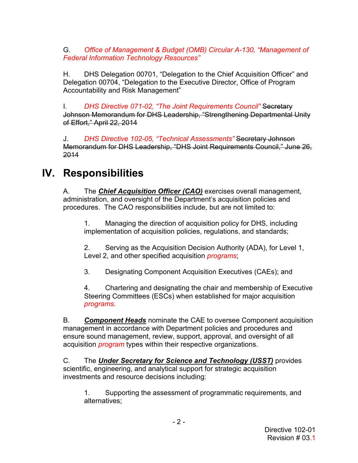G. *Office of Management & Budget (OMB) Circular A-130, "Management of Federal Information Technology Resources"*

H. DHS Delegation 00701, "Delegation to the Chief Acquisition Officer" and Delegation 00704, "Delegation to the Executive Director, Office of Program Accountability and Risk Management"

I. *DHS Directive 071-02, "The Joint Requirements Council"* Secretary Johnson Memorandum for DHS Leadership, "Strengthening Departmental Unity of Effort," April 22, 2014

J. *DHS Directive 102-05, "Technical Assessments"* Secretary Johnson Memorandum for DHS Leadership, "DHS Joint Requirements Council," June 26, 2014

# **IV. Responsibilities**

A. The *Chief Acquisition Officer (CAO)* exercises overall management, administration, and oversight of the Department's acquisition policies and procedures. The CAO responsibilities include, but are not limited to:

1. Managing the direction of acquisition policy for DHS, including implementation of acquisition policies, regulations, and standards;

2. Serving as the Acquisition Decision Authority (ADA), for Level 1, Level 2, and other specified acquisition *programs*;

3. Designating Component Acquisition Executives (CAEs); and

4. Chartering and designating the chair and membership of Executive Steering Committees (ESCs) when established for major acquisition *programs*.

B. *Component Heads* nominate the CAE to oversee Component acquisition management in accordance with Department policies and procedures and ensure sound management, review, support, approval, and oversight of all acquisition *program* types within their respective organizations.

C. The *Under Secretary for Science and Technology (USST)* provides scientific, engineering, and analytical support for strategic acquisition investments and resource decisions including:

1. Supporting the assessment of programmatic requirements, and alternatives;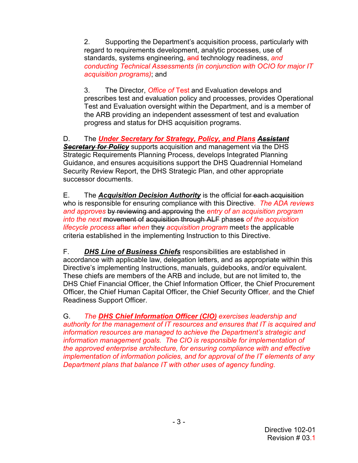2. Supporting the Department's acquisition process, particularly with regard to requirements development, analytic processes, use of standards, systems engineering, and technology readiness, *and conducting Technical Assessments (in conjunction with OCIO for major IT acquisition programs)*; and

3. The Director, *Office of* Test and Evaluation develops and prescribes test and evaluation policy and processes, provides Operational Test and Evaluation oversight within the Department, and is a member of the ARB providing an independent assessment of test and evaluation progress and status for DHS acquisition programs.

D. The *Under Secretary for Strategy, Policy, and Plans Assistant*  **Secretary for Policy** supports acquisition and management via the DHS Strategic Requirements Planning Process, develops Integrated Planning Guidance, and ensures acquisitions support the DHS Quadrennial Homeland Security Review Report, the DHS Strategic Plan, and other appropriate successor documents.

E. The *Acquisition Decision Authority* is the official for each acquisition who is responsible for ensuring compliance with this Directive. *The ADA reviews and approves* by reviewing and approving the *entry of an acquisition program into the next* movement of acquisition through ALF phases *of the acquisition lifecycle process* after *when* they *acquisition program* meet*s* the applicable criteria established in the implementing Instruction to this Directive.

F. *DHS Line of Business Chiefs* responsibilities are established in accordance with applicable law, delegation letters, and as appropriate within this Directive's implementing Instructions, manuals, guidebooks, and/or equivalent. These chiefs are members of the ARB and include, but are not limited to, the DHS Chief Financial Officer, the Chief Information Officer, the Chief Procurement Officer, the Chief Human Capital Officer, the Chief Security Officer*,* and the Chief Readiness Support Officer.

G. *The DHS Chief Information Officer (CIO) exercises leadership and authority for the management of IT resources and ensures that IT is acquired and information resources are managed to achieve the Department's strategic and information management goals. The CIO is responsible for implementation of the approved enterprise architecture, for ensuring compliance with and effective implementation of information policies, and for approval of the IT elements of any Department plans that balance IT with other uses of agency funding.*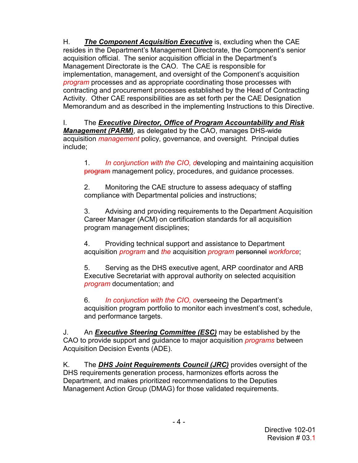H. *The Component Acquisition Executive* is, excluding when the CAE resides in the Department's Management Directorate, the Component's senior acquisition official. The senior acquisition official in the Department's Management Directorate is the CAO. The CAE is responsible for implementation, management, and oversight of the Component's acquisition *program* processes and as appropriate coordinating those processes with contracting and procurement processes established by the Head of Contracting Activity. Other CAE responsibilities are as set forth per the CAE Designation Memorandum and as described in the implementing Instructions to this Directive.

I. The *Executive Director, Office of Program Accountability and Risk Management (PARM)*, as delegated by the CAO, manages DHS-wide acquisition *management* policy, governance*,* and oversight. Principal duties include;

1. *In conjunction with the CIO, d*eveloping and maintaining acquisition program management policy, procedures, and quidance processes.

2. Monitoring the CAE structure to assess adequacy of staffing compliance with Departmental policies and instructions;

3. Advising and providing requirements to the Department Acquisition Career Manager (ACM) on certification standards for all acquisition program management disciplines;

4. Providing technical support and assistance to Department acquisition *program* and *the* acquisition *program* personnel *workforce*;

5. Serving as the DHS executive agent, ARP coordinator and ARB Executive Secretariat with approval authority on selected acquisition *program* documentation; and

6. *In conjunction with the CIO, o*verseeing the Department's acquisition program portfolio to monitor each investment's cost, schedule, and performance targets.

J. An *Executive Steering Committee (ESC)* may be established by the CAO to provide support and guidance to major acquisition *programs* between Acquisition Decision Events (ADE).

K. The *DHS Joint Requirements Council (JRC)* provides oversight of the DHS requirements generation process, harmonizes efforts across the Department, and makes prioritized recommendations to the Deputies Management Action Group (DMAG) for those validated requirements.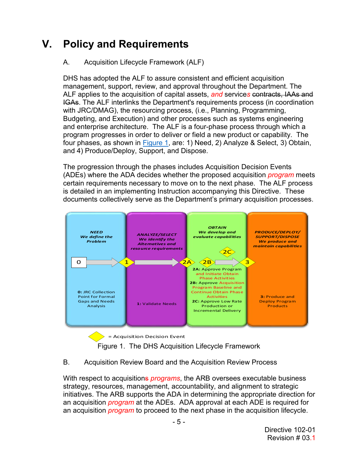# **V. Policy and Requirements**

#### A. Acquisition Lifecycle Framework (ALF)

DHS has adopted the ALF to assure consistent and efficient acquisition management, support, review, and approval throughout the Department. The ALF applies to the acquisition of capital assets, *and* service*s* contracts, IAAs and IGAs. The ALF interlinks the Department's requirements process (in coordination with JRC/DMAG), the resourcing process, (i.e., Planning, Programming, Budgeting, and Execution) and other processes such as systems engineering and enterprise architecture. The ALF is a four-phase process through which a program progresses in order to deliver or field a new product or capability. The four phases, as shown in [Figure 1,](#page-4-0) are: 1) Need, 2) Analyze & Select, 3) Obtain, and 4) Produce/Deploy, Support, and Dispose.

The progression through the phases includes Acquisition Decision Events (ADEs) where the ADA decides whether the proposed acquisition *program* meets certain requirements necessary to move on to the next phase. The ALF process is detailed in an implementing Instruction accompanying this Directive. These documents collectively serve as the Department's primary acquisition processes.



Figure 1. The DHS Acquisition Lifecycle Framework

#### <span id="page-4-0"></span>B. Acquisition Review Board and the Acquisition Review Process

With respect to acquisitions *programs*, the ARB oversees executable business strategy, resources, management, accountability, and alignment to strategic initiatives. The ARB supports the ADA in determining the appropriate direction for an acquisition *program* at the ADEs. ADA approval at each ADE is required for an acquisition *program* to proceed to the next phase in the acquisition lifecycle.